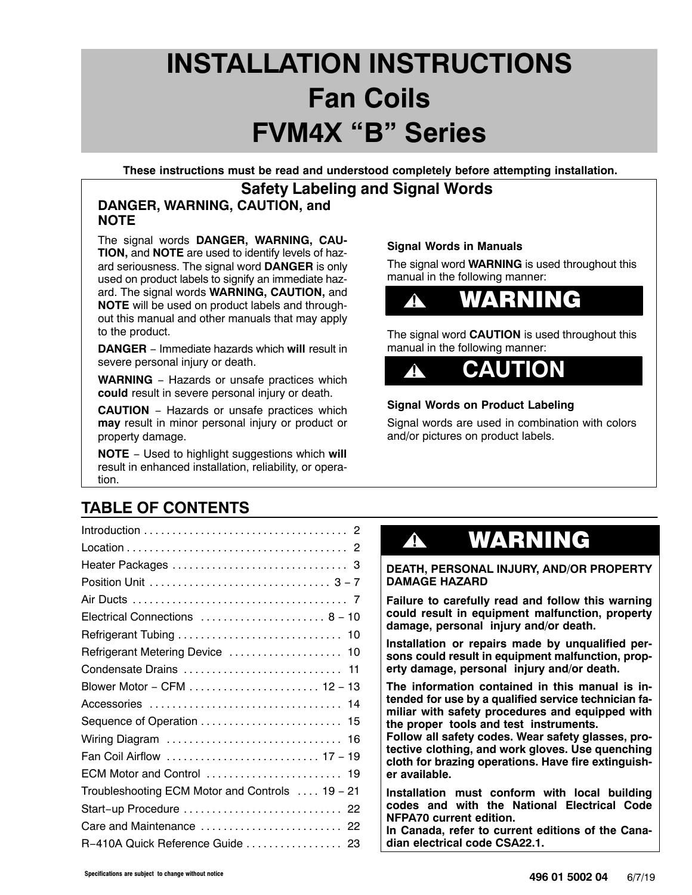# **INSTALLATION INSTRUCTIONS Fan Coils FVM4X "B" Series**

**These instructions must be read and understood completely before attempting installation.**

## **Safety Labeling and Signal Words**

### **DANGER, WARNING, CAUTION, and NOTE**

The signal words **DANGER, WARNING, CAU-TION,** and **NOTE** are used to identify levels of hazard seriousness. The signal word **DANGER** is only used on product labels to signify an immediate hazard. The signal words **WARNING, CAUTION,** and **NOTE** will be used on product labels and throughout this manual and other manuals that may apply to the product.

**DANGER** − Immediate hazards which **will** result in severe personal injury or death.

**WARNING** − Hazards or unsafe practices which **could** result in severe personal injury or death.

**CAUTION** − Hazards or unsafe practices which **may** result in minor personal injury or product or property damage.

**NOTE** − Used to highlight suggestions which **will** result in enhanced installation, reliability, or operation.

### **Signal Words in Manuals**

The signal word **WARNING** is used throughout this manual in the following manner:



The signal word **CAUTION** is used throughout this manual in the following manner:



### **Signal Words on Product Labeling**

Signal words are used in combination with colors and/or pictures on product labels.

## **TABLE OF CONTENTS**

| Electrical Connections  8 - 10                  |
|-------------------------------------------------|
| Refrigerant Tubing  10                          |
| Refrigerant Metering Device  10                 |
| Condensate Drains  11                           |
|                                                 |
|                                                 |
| Sequence of Operation  15                       |
| Wiring Diagram  16                              |
| Fan Coil Airflow  17 - 19                       |
| ECM Motor and Control  19                       |
| Troubleshooting ECM Motor and Controls  19 - 21 |
| Start-up Procedure  22                          |
| Care and Maintenance  22                        |
| R-410A Quick Reference Guide  23                |

## **!** WARNING

#### **DEATH, PERSONAL INJURY, AND/OR PROPERTY DAMAGE HAZARD**

**Failure to carefully read and follow this warning could result in equipment malfunction, property damage, personal injury and/or death.**

**Installation or repairs made by unqualified persons could result in equipment malfunction, property damage, personal injury and/or death.**

**The information contained in this manual is intended for use by a qualified service technician familiar with safety procedures and equipped with the proper tools and test instruments.**

**Follow all safety codes. Wear safety glasses, protective clothing, and work gloves. Use quenching cloth for brazing operations. Have fire extinguisher available.**

**Installation must conform with local building codes and with the National Electrical Code NFPA70 current edition.**

**In Canada, refer to current editions of the Canadian electrical code CSA22.1.**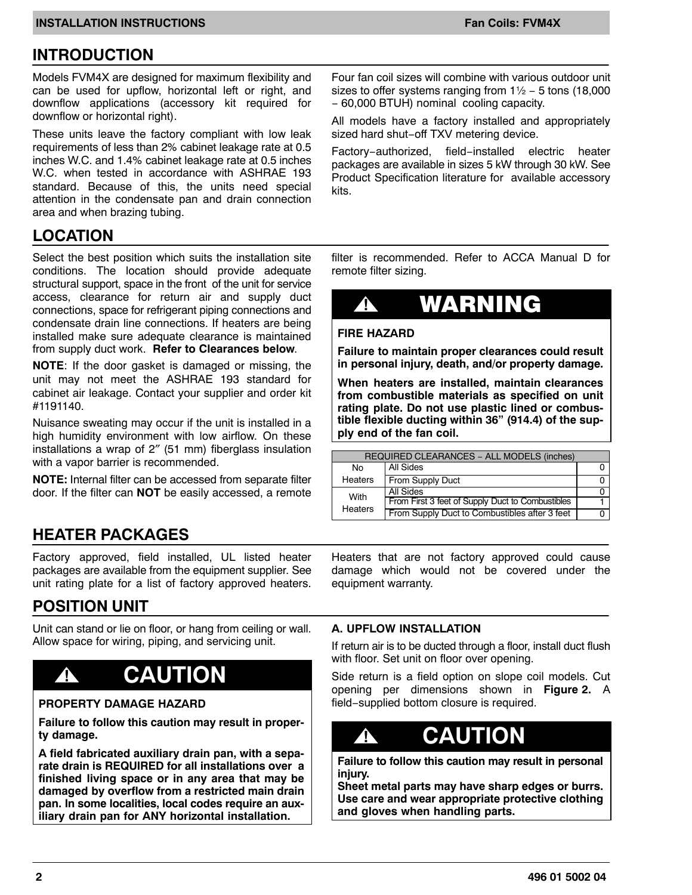### **INTRODUCTION**

Models FVM4X are designed for maximum flexibility and can be used for upflow, horizontal left or right, and downflow applications (accessory kit required for downflow or horizontal right).

These units leave the factory compliant with low leak requirements of less than 2% cabinet leakage rate at 0.5 inches W.C. and 1.4% cabinet leakage rate at 0.5 inches W.C. when tested in accordance with ASHRAE 193 standard. Because of this, the units need special attention in the condensate pan and drain connection area and when brazing tubing.

## **LOCATION**

Select the best position which suits the installation site conditions. The location should provide adequate structural support, space in the front of the unit for service access, clearance for return air and supply duct connections, space for refrigerant piping connections and condensate drain line connections. If heaters are being installed make sure adequate clearance is maintained from supply duct work. **Refer to Clearances below**.

**NOTE**: If the door gasket is damaged or missing, the unit may not meet the ASHRAE 193 standard for cabinet air leakage. Contact your supplier and order kit #1191140.

Nuisance sweating may occur if the unit is installed in a high humidity environment with low airflow. On these installations a wrap of 2″ (51 mm) fiberglass insulation with a vapor barrier is recommended.

**NOTE:** Internal filter can be accessed from separate filter door. If the filter can **NOT** be easily accessed, a remote

Four fan coil sizes will combine with various outdoor unit sizes to offer systems ranging from 1½ − 5 tons (18,000 − 60,000 BTUH) nominal cooling capacity.

All models have a factory installed and appropriately sized hard shut−off TXV metering device.

Factory−authorized, field−installed electric heater packages are available in sizes 5 kW through 30 kW. See Product Specification literature for available accessory kits.

filter is recommended. Refer to ACCA Manual D for remote filter sizing.

## **!** WARNING

#### **FIRE HAZARD**

**Failure to maintain proper clearances could result in personal injury, death, and/or property damage.**

**When heaters are installed, maintain clearances from combustible materials as specified on unit rating plate. Do not use plastic lined or combustible flexible ducting within 36" (914.4) of the supply end of the fan coil.**

| REQUIRED CLEARANCES - ALL MODELS (inches) |                                                  |  |  |  |  |  |  |
|-------------------------------------------|--------------------------------------------------|--|--|--|--|--|--|
| No                                        | All Sides                                        |  |  |  |  |  |  |
| <b>Heaters</b>                            | From Supply Duct                                 |  |  |  |  |  |  |
| With                                      | All Sides                                        |  |  |  |  |  |  |
|                                           | From First 3 feet of Supply Duct to Combustibles |  |  |  |  |  |  |
| <b>Heaters</b>                            | From Supply Duct to Combustibles after 3 feet    |  |  |  |  |  |  |

## **HEATER PACKAGES**

Factory approved, field installed, UL listed heater packages are available from the equipment supplier. See unit rating plate for a list of factory approved heaters.

### **POSITION UNIT**

Unit can stand or lie on floor, or hang from ceiling or wall. Allow space for wiring, piping, and servicing unit.

## **! CAUTION**

#### **PROPERTY DAMAGE HAZARD**

**Failure to follow this caution may result in property damage.**

**A field fabricated auxiliary drain pan, with a separate drain is REQUIRED for all installations over a finished living space or in any area that may be damaged by overflow from a restricted main drain pan. In some localities, local codes require an auxiliary drain pan for ANY horizontal installation.**

Heaters that are not factory approved could cause damage which would not be covered under the equipment warranty.

#### **A. UPFLOW INSTALLATION**

If return air is to be ducted through a floor, install duct flush with floor. Set unit on floor over opening.

Side return is a field option on slope coil models. Cut opening per dimensions shown in **[Figure 2.](#page-2-0)** A field−supplied bottom closure is required.

## **! CAUTION**

**Failure to follow this caution may result in personal injury.**

**Sheet metal parts may have sharp edges or burrs. Use care and wear appropriate protective clothing and gloves when handling parts.**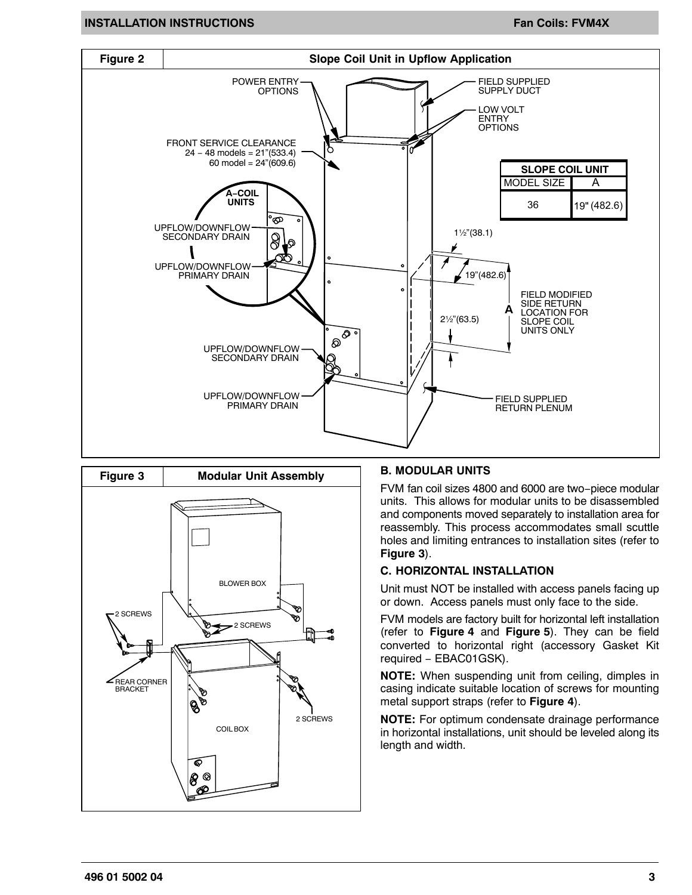#### **INSTALLATION INSTRUCTIONS FANCICIAL CONSTITUTIONS FANCICISE INSTALLATION INSTRUCTIONS**

<span id="page-2-0"></span>



#### **B. MODULAR UNITS**

FVM fan coil sizes 4800 and 6000 are two−piece modular units. This allows for modular units to be disassembled and components moved separately to installation area for reassembly. This process accommodates small scuttle holes and limiting entrances to installation sites (refer to **Figure 3**).

#### **C. HORIZONTAL INSTALLATION**

Unit must NOT be installed with access panels facing up or down. Access panels must only face to the side.

FVM models are factory built for horizontal left installation (refer to **[Figure 4](#page-3-0)** and **[Figure 5](#page-3-0)**). They can be field converted to horizontal right (accessory Gasket Kit required − EBAC01GSK).

**NOTE:** When suspending unit from ceiling, dimples in casing indicate suitable location of screws for mounting metal support straps (refer to **[Figure 4](#page-3-0)**).

**NOTE:** For optimum condensate drainage performance in horizontal installations, unit should be leveled along its length and width.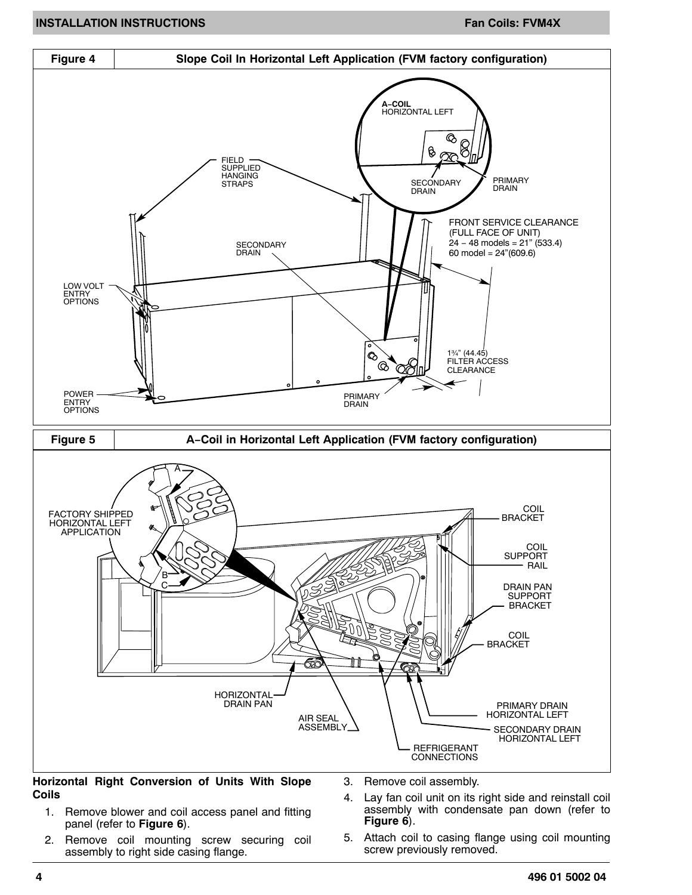<span id="page-3-0"></span>

**Horizontal Right Conversion of Units With Slope Coils**

panel (refer to **[Figure 6](#page-4-0)**).

- 3. Remove coil assembly.
- 1. Remove blower and coil access panel and fitting 4. Lay fan coil unit on its right side and reinstall coil assembly with condensate pan down (refer to **[Figure 6](#page-4-0)**).
- 2. Remove coil mounting screw securing coil assembly to right side casing flange.
- 5. Attach coil to casing flange using coil mounting screw previously removed.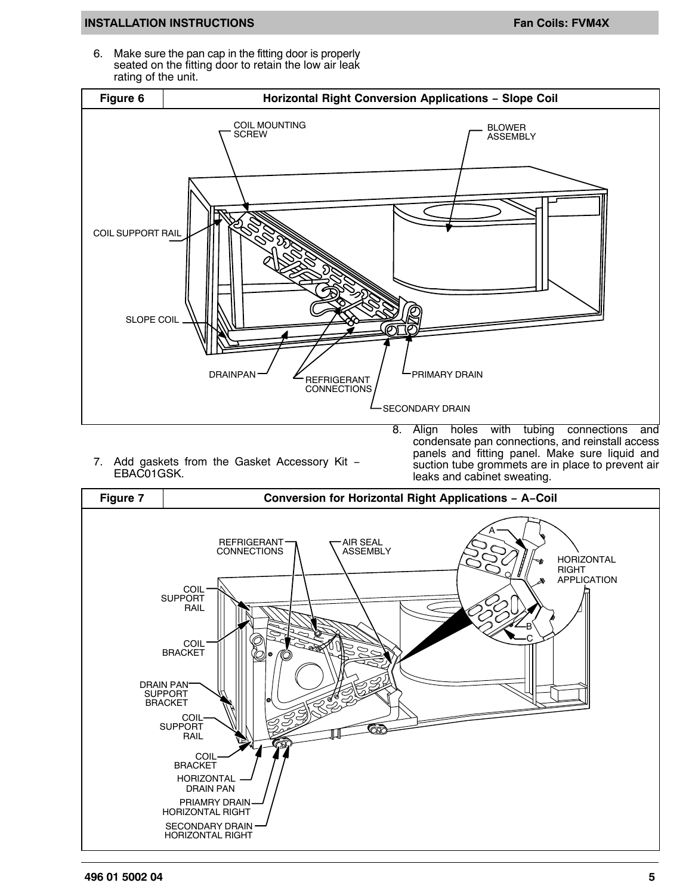#### <span id="page-4-0"></span>**INSTALLATION INSTRUCTIONS FAN ALLATION INSTRUCTIONS**

6. Make sure the pan cap in the fitting door is properly seated on the fitting door to retain the low air leak rating of the unit.



7. Add gaskets from the Gasket Accessory Kit − EBAC01GSK.

8. Align holes with tubing connections and condensate pan connections, and reinstall access panels and fitting panel. Make sure liquid and suction tube grommets are in place to prevent air leaks and cabinet sweating.

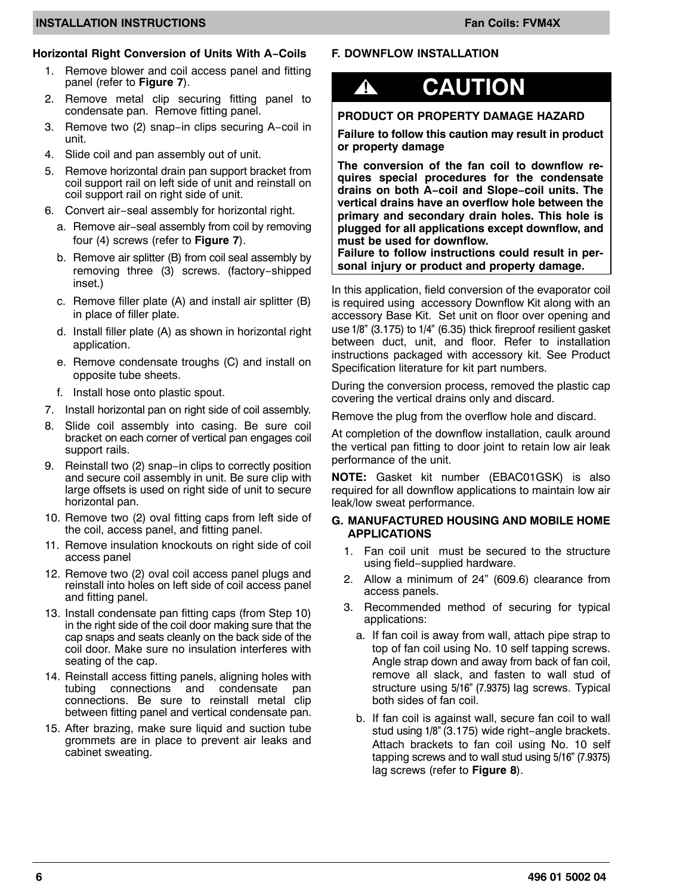#### **INSTALLATION INSTRUCTIONS FAN ALL ATTIONS FAN ALL ATTIONS FAN ALL ATTIONS FAN ALL ATTIONS**

#### **Horizontal Right Conversion of Units With A−Coils**

- 1. Remove blower and coil access panel and fitting panel (refer to **[Figure 7](#page-4-0)**).
- 2. Remove metal clip securing fitting panel to condensate pan. Remove fitting panel.
- 3. Remove two (2) snap−in clips securing A−coil in unit.
- 4. Slide coil and pan assembly out of unit.
- 5. Remove horizontal drain pan support bracket from coil support rail on left side of unit and reinstall on coil support rail on right side of unit.
- 6. Convert air−seal assembly for horizontal right.
	- a. Remove air−seal assembly from coil by removing four (4) screws (refer to **[Figure 7](#page-4-0)**).
	- b. Remove air splitter (B) from coil seal assembly by removing three (3) screws. (factory−shipped inset.)
	- c. Remove filler plate (A) and install air splitter (B) in place of filler plate.
	- d. Install filler plate (A) as shown in horizontal right application.
	- e. Remove condensate troughs (C) and install on opposite tube sheets.
	- f. Install hose onto plastic spout.
- 7. Install horizontal pan on right side of coil assembly.
- 8. Slide coil assembly into casing. Be sure coil bracket on each corner of vertical pan engages coil support rails.
- 9. Reinstall two (2) snap−in clips to correctly position and secure coil assembly in unit. Be sure clip with large offsets is used on right side of unit to secure horizontal pan.
- 10. Remove two (2) oval fitting caps from left side of the coil, access panel, and fitting panel.
- 11. Remove insulation knockouts on right side of coil access panel
- 12. Remove two (2) oval coil access panel plugs and reinstall into holes on left side of coil access panel and fitting panel.
- 13. Install condensate pan fitting caps (from Step 10) in the right side of the coil door making sure that the cap snaps and seats cleanly on the back side of the coil door. Make sure no insulation interferes with seating of the cap.
- 14. Reinstall access fitting panels, aligning holes with tubing connections and condensate pan connections. Be sure to reinstall metal clip between fitting panel and vertical condensate pan.
- 15. After brazing, make sure liquid and suction tube grommets are in place to prevent air leaks and cabinet sweating.

#### **F. DOWNFLOW INSTALLATION**

## **! CAUTION**

#### **PRODUCT OR PROPERTY DAMAGE HAZARD**

**Failure to follow this caution may result in product or property damage**

**The conversion of the fan coil to downflow requires special procedures for the condensate drains on both A−coil and Slope−coil units. The vertical drains have an overflow hole between the primary and secondary drain holes. This hole is plugged for all applications except downflow, and must be used for downflow.**

**Failure to follow instructions could result in personal injury or product and property damage.**

In this application, field conversion of the evaporator coil is required using accessory Downflow Kit along with an accessory Base Kit. Set unit on floor over opening and use 1/8" (3.175) to 1/4" (6.35) thick fireproof resilient gasket between duct, unit, and floor. Refer to installation instructions packaged with accessory kit. See Product Specification literature for kit part numbers.

During the conversion process, removed the plastic cap covering the vertical drains only and discard.

Remove the plug from the overflow hole and discard.

At completion of the downflow installation, caulk around the vertical pan fitting to door joint to retain low air leak performance of the unit.

**NOTE:** Gasket kit number (EBAC01GSK) is also required for all downflow applications to maintain low air leak/low sweat performance.

#### **G. MANUFACTURED HOUSING AND MOBILE HOME APPLICATIONS**

- 1. Fan coil unit must be secured to the structure using field−supplied hardware.
- 2. Allow a minimum of 24" (609.6) clearance from access panels.
- 3. Recommended method of securing for typical applications:
	- a. If fan coil is away from wall, attach pipe strap to top of fan coil using No. 10 self tapping screws. Angle strap down and away from back of fan coil, remove all slack, and fasten to wall stud of structure using 5/16" (7.9375) lag screws. Typical both sides of fan coil.
	- b. If fan coil is against wall, secure fan coil to wall stud using 1/8" (3.175) wide right−angle brackets. Attach brackets to fan coil using No. 10 self tapping screws and to wall stud using 5/16" (7.9375) lag screws (refer to **[Figure 8](#page-6-0)**).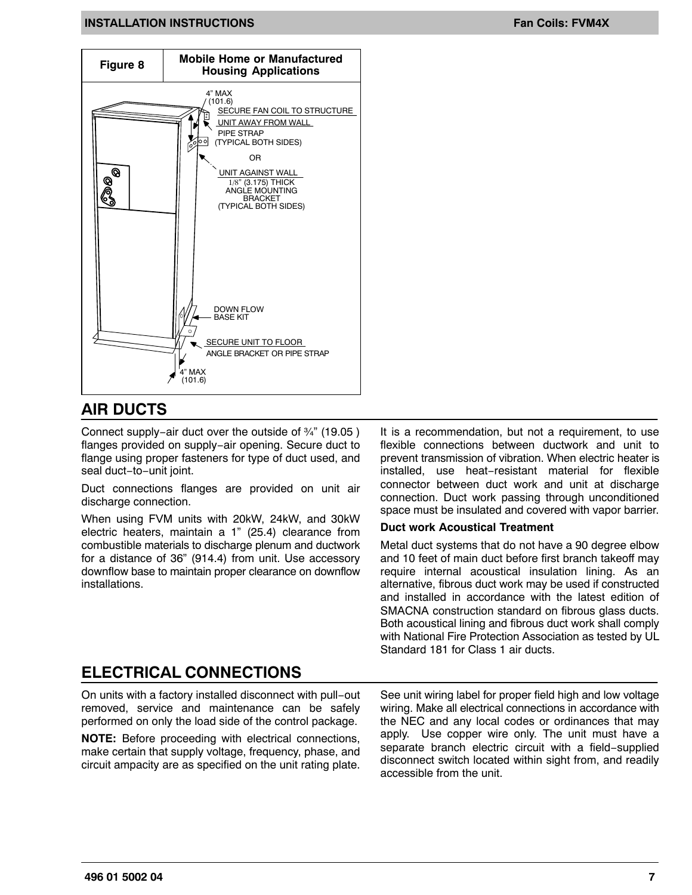#### <span id="page-6-0"></span>**INSTALLATION INSTRUCTIONS FAND CONSTRUCTIONS** FAND CONSTRUCTIONS FAND CONSTRUCTIONS



### **AIR DUCTS**

Connect supply−air duct over the outside of ¾" (19.05 ) flanges provided on supply−air opening. Secure duct to flange using proper fasteners for type of duct used, and seal duct−to−unit joint.

Duct connections flanges are provided on unit air discharge connection.

When using FVM units with 20kW, 24kW, and 30kW electric heaters, maintain a 1" (25.4) clearance from combustible materials to discharge plenum and ductwork for a distance of 36" (914.4) from unit. Use accessory downflow base to maintain proper clearance on downflow installations.

It is a recommendation, but not a requirement, to use flexible connections between ductwork and unit to prevent transmission of vibration. When electric heater is installed, use heat−resistant material for flexible connector between duct work and unit at discharge connection. Duct work passing through unconditioned space must be insulated and covered with vapor barrier.

#### **Duct work Acoustical Treatment**

Metal duct systems that do not have a 90 degree elbow and 10 feet of main duct before first branch takeoff may require internal acoustical insulation lining. As an alternative, fibrous duct work may be used if constructed and installed in accordance with the latest edition of SMACNA construction standard on fibrous glass ducts. Both acoustical lining and fibrous duct work shall comply with National Fire Protection Association as tested by UL Standard 181 for Class 1 air ducts.

### **ELECTRICAL CONNECTIONS**

On units with a factory installed disconnect with pull−out removed, service and maintenance can be safely performed on only the load side of the control package.

**NOTE:** Before proceeding with electrical connections, make certain that supply voltage, frequency, phase, and circuit ampacity are as specified on the unit rating plate. See unit wiring label for proper field high and low voltage wiring. Make all electrical connections in accordance with the NEC and any local codes or ordinances that may apply. Use copper wire only. The unit must have a separate branch electric circuit with a field−supplied disconnect switch located within sight from, and readily accessible from the unit.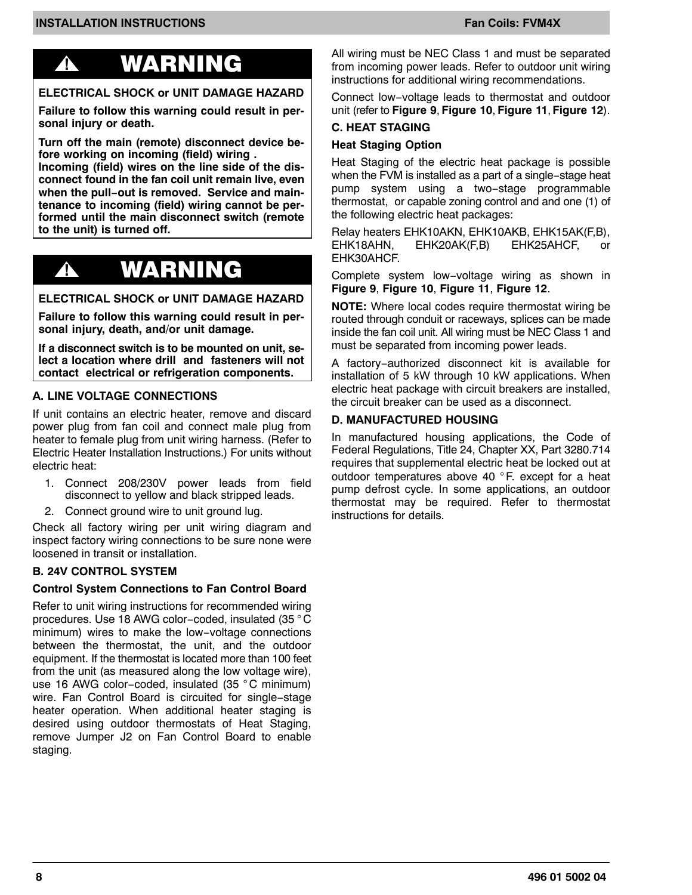## **!** WARNING

### **ELECTRICAL SHOCK or UNIT DAMAGE HAZARD**

**Failure to follow this warning could result in personal injury or death.**

**Turn off the main (remote) disconnect device before working on incoming (field) wiring .**

**Incoming (field) wires on the line side of the disconnect found in the fan coil unit remain live, even when the pull−out is removed. Service and maintenance to incoming (field) wiring cannot be performed until the main disconnect switch (remote to the unit) is turned off.**

## **!** WARNING

#### **ELECTRICAL SHOCK or UNIT DAMAGE HAZARD**

**Failure to follow this warning could result in personal injury, death, and/or unit damage.**

**If a disconnect switch is to be mounted on unit, select a location where drill and fasteners will not contact electrical or refrigeration components.**

#### **A. LINE VOLTAGE CONNECTIONS**

If unit contains an electric heater, remove and discard power plug from fan coil and connect male plug from heater to female plug from unit wiring harness. (Refer to Electric Heater Installation Instructions.) For units without electric heat:

- 1. Connect 208/230V power leads from field disconnect to yellow and black stripped leads.
- 2. Connect ground wire to unit ground lug.

Check all factory wiring per unit wiring diagram and inspect factory wiring connections to be sure none were loosened in transit or installation.

#### **B. 24V CONTROL SYSTEM**

#### **Control System Connections to Fan Control Board**

Refer to unit wiring instructions for recommended wiring procedures. Use 18 AWG color−coded, insulated (35 ° C minimum) wires to make the low−voltage connections between the thermostat, the unit, and the outdoor equipment. If the thermostat is located more than 100 feet from the unit (as measured along the low voltage wire), use 16 AWG color−coded, insulated (35 ° C minimum) wire. Fan Control Board is circuited for single−stage heater operation. When additional heater staging is desired using outdoor thermostats of Heat Staging, remove Jumper J2 on Fan Control Board to enable staging.

All wiring must be NEC Class 1 and must be separated from incoming power leads. Refer to outdoor unit wiring instructions for additional wiring recommendations.

Connect low−voltage leads to thermostat and outdoor unit (refer to **[Figure 9](#page-8-0)**, **[Figure 10](#page-8-0)**, **[Figure 11](#page-8-0)**, **[Figure 12](#page-8-0)**).

### **C. HEAT STAGING**

#### **Heat Staging Option**

Heat Staging of the electric heat package is possible when the FVM is installed as a part of a single−stage heat pump system using a two−stage programmable thermostat, or capable zoning control and and one (1) of the following electric heat packages:

Relay heaters EHK10AKN, EHK10AKB, EHK15AK(F,B), EHK18AHN, EHK20AK(F,B) EHK25AHCF, or EHK30AHCF.

Complete system low−voltage wiring as shown in **[Figure 9](#page-8-0)**, **[Figure 10](#page-8-0)**, **[Figure 11](#page-8-0)**, **[Figure 12](#page-8-0)**.

**NOTE:** Where local codes require thermostat wiring be routed through conduit or raceways, splices can be made inside the fan coil unit. All wiring must be NEC Class 1 and must be separated from incoming power leads.

A factory−authorized disconnect kit is available for installation of 5 kW through 10 kW applications. When electric heat package with circuit breakers are installed, the circuit breaker can be used as a disconnect.

#### **D. MANUFACTURED HOUSING**

In manufactured housing applications, the Code of Federal Regulations, Title 24, Chapter XX, Part 3280.714 requires that supplemental electric heat be locked out at outdoor temperatures above 40 °F. except for a heat pump defrost cycle. In some applications, an outdoor thermostat may be required. Refer to thermostat instructions for details.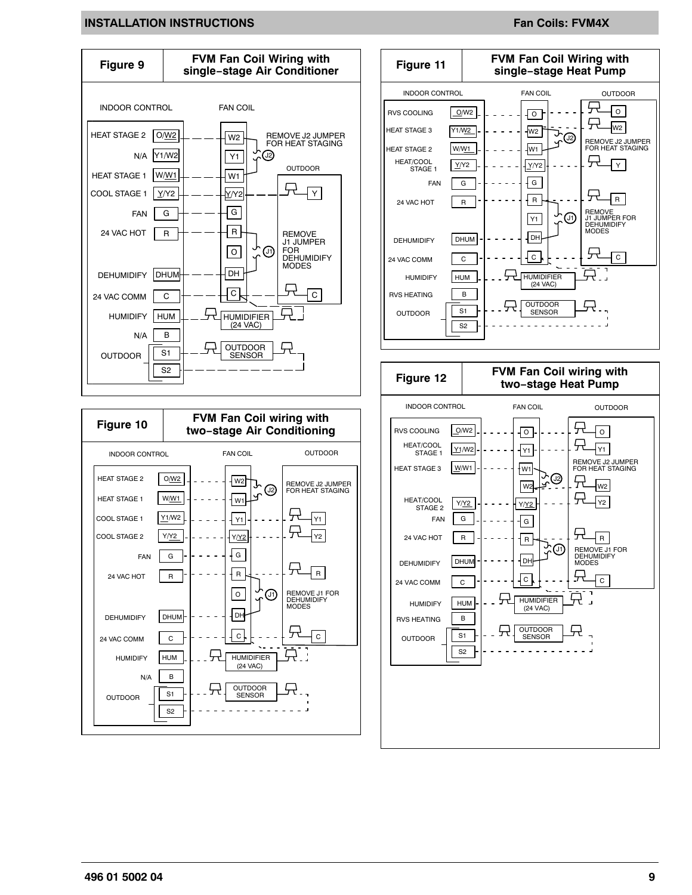#### **INSTALLATION INSTRUCTIONS FAND ASSESSMENT CONSTANT OF A SET OF A SET OF A SET OF A SET OF A SET OF A SET OF A S**

<span id="page-8-0"></span>

**496 01 5002 04 9**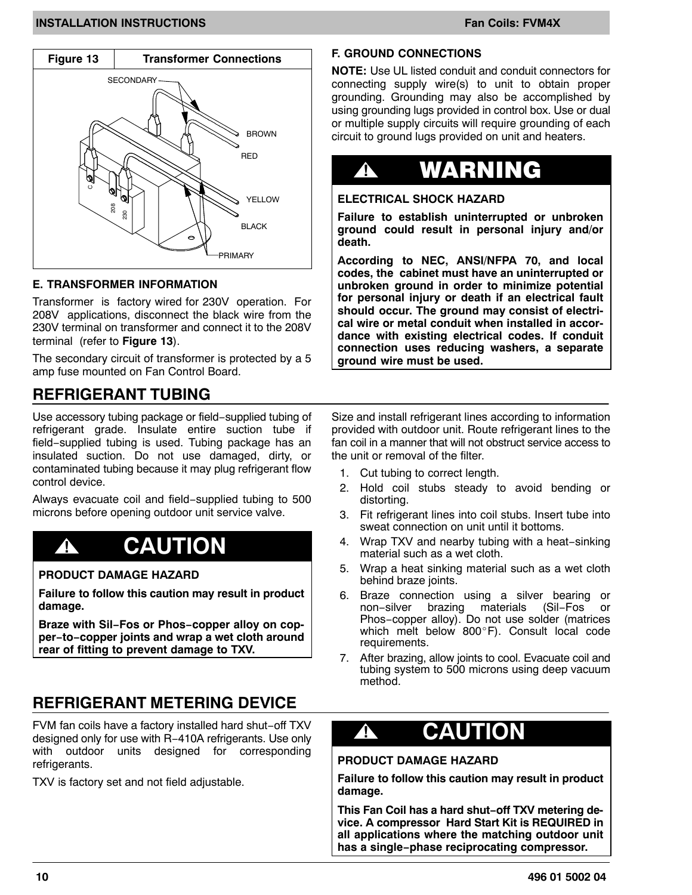#### **INSTALLATION INSTRUCTIONS FAN ALL ATTIONS FAN ALL ATTIONS FAN ALL ATTIONS FAN ALL ATTIONS**



#### **E. TRANSFORMER INFORMATION**

Transformer is factory wired for 230V operation. For 208V applications, disconnect the black wire from the 230V terminal on transformer and connect it to the 208V terminal (refer to **Figure 13**).

The secondary circuit of transformer is protected by a 5 amp fuse mounted on Fan Control Board.

### **REFRIGERANT TUBING**

Use accessory tubing package or field−supplied tubing of refrigerant grade. Insulate entire suction tube if field−supplied tubing is used. Tubing package has an insulated suction. Do not use damaged, dirty, or contaminated tubing because it may plug refrigerant flow control device.

Always evacuate coil and field−supplied tubing to 500 microns before opening outdoor unit service valve.

## **! CAUTION**

#### **PRODUCT DAMAGE HAZARD**

**Failure to follow this caution may result in product damage.**

**Braze with Sil−Fos or Phos−copper alloy on copper−to−copper joints and wrap a wet cloth around rear of fitting to prevent damage to TXV.**

## **REFRIGERANT METERING DEVICE**

FVM fan coils have a factory installed hard shut−off TXV designed only for use with R−410A refrigerants. Use only with outdoor units designed for corresponding refrigerants.

TXV is factory set and not field adjustable.

#### **F. GROUND CONNECTIONS**

**NOTE:** Use UL listed conduit and conduit connectors for connecting supply wire(s) to unit to obtain proper grounding. Grounding may also be accomplished by using grounding lugs provided in control box. Use or dual or multiple supply circuits will require grounding of each circuit to ground lugs provided on unit and heaters.

## **!** WARNING

#### **ELECTRICAL SHOCK HAZARD**

**Failure to establish uninterrupted or unbroken ground could result in personal injury and/or death.**

**According to NEC, ANSI/NFPA 70, and local codes, the cabinet must have an uninterrupted or unbroken ground in order to minimize potential for personal injury or death if an electrical fault should occur. The ground may consist of electrical wire or metal conduit when installed in accordance with existing electrical codes. If conduit connection uses reducing washers, a separate ground wire must be used.**

Size and install refrigerant lines according to information provided with outdoor unit. Route refrigerant lines to the fan coil in a manner that will not obstruct service access to the unit or removal of the filter.

- 1. Cut tubing to correct length.
- 2. Hold coil stubs steady to avoid bending or distorting.
- 3. Fit refrigerant lines into coil stubs. Insert tube into sweat connection on unit until it bottoms.
- 4. Wrap TXV and nearby tubing with a heat−sinking material such as a wet cloth.
- 5. Wrap a heat sinking material such as a wet cloth behind braze joints.
- 6. Braze connection using a silver bearing or<br>non-silver brazing materials (Sil-Fos or non−silver brazing materials (Sil−Fos or Phos−copper alloy). Do not use solder (matrices which melt below 800-F). Consult local code requirements.
- 7. After brazing, allow joints to cool. Evacuate coil and tubing system to 500 microns using deep vacuum method.

## **! CAUTION**

#### **PRODUCT DAMAGE HAZARD**

**Failure to follow this caution may result in product damage.**

**This Fan Coil has a hard shut−off TXV metering device. A compressor Hard Start Kit is REQUIRED in all applications where the matching outdoor unit has a single−phase reciprocating compressor.**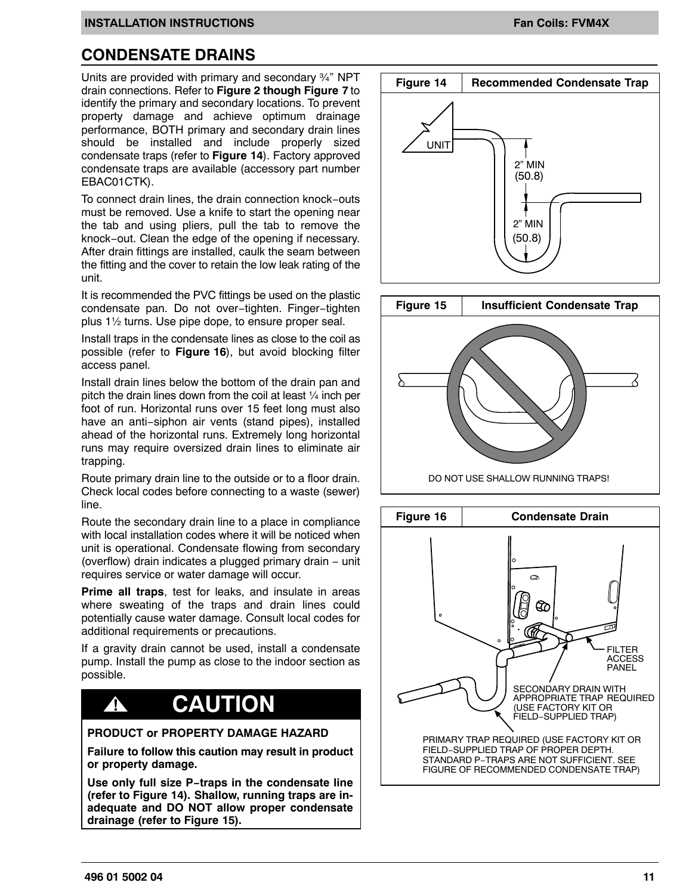## **CONDENSATE DRAINS**

Units are provided with primary and secondary ¾" NPT drain connections. Refer to **Figure 2 though [Figure 7](#page-4-0)** to identify the primary and secondary locations. To prevent property damage and achieve optimum drainage performance, BOTH primary and secondary drain lines should be installed and include properly sized condensate traps (refer to **Figure 14**). Factory approved condensate traps are available (accessory part number EBAC01CTK).

To connect drain lines, the drain connection knock−outs must be removed. Use a knife to start the opening near the tab and using pliers, pull the tab to remove the knock−out. Clean the edge of the opening if necessary. After drain fittings are installed, caulk the seam between the fitting and the cover to retain the low leak rating of the unit.

It is recommended the PVC fittings be used on the plastic condensate pan. Do not over−tighten. Finger−tighten plus 1½ turns. Use pipe dope, to ensure proper seal.

Install traps in the condensate lines as close to the coil as possible (refer to **Figure 16**), but avoid blocking filter access panel.

Install drain lines below the bottom of the drain pan and pitch the drain lines down from the coil at least ¼ inch per foot of run. Horizontal runs over 15 feet long must also have an anti−siphon air vents (stand pipes), installed ahead of the horizontal runs. Extremely long horizontal runs may require oversized drain lines to eliminate air trapping.

Route primary drain line to the outside or to a floor drain. Check local codes before connecting to a waste (sewer) line.

Route the secondary drain line to a place in compliance with local installation codes where it will be noticed when unit is operational. Condensate flowing from secondary (overflow) drain indicates a plugged primary drain − unit requires service or water damage will occur.

**Prime all traps**, test for leaks, and insulate in areas where sweating of the traps and drain lines could potentially cause water damage. Consult local codes for additional requirements or precautions.

If a gravity drain cannot be used, install a condensate pump. Install the pump as close to the indoor section as possible.

## **! CAUTION**

#### **PRODUCT or PROPERTY DAMAGE HAZARD**

**Failure to follow this caution may result in product or property damage.**

**Use only full size P−traps in the condensate line (refer to Figure 14). Shallow, running traps are inadequate and DO NOT allow proper condensate drainage (refer to Figure 15).**





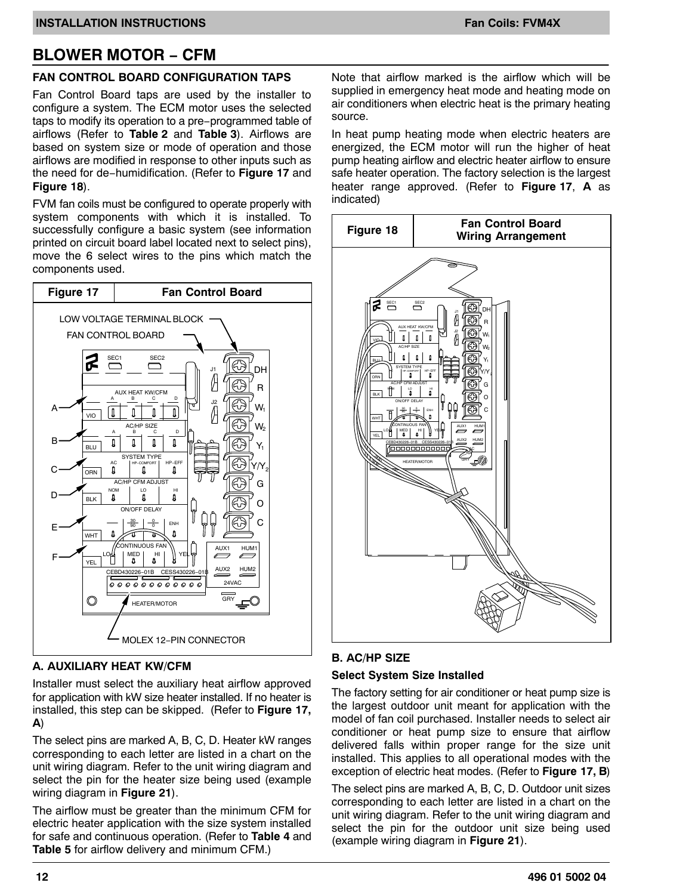## <span id="page-11-0"></span>**BLOWER MOTOR − CFM**

#### **FAN CONTROL BOARD CONFIGURATION TAPS**

Fan Control Board taps are used by the installer to configure a system. The ECM motor uses the selected taps to modify its operation to a pre−programmed table of airflows (Refer to **[Table 2](#page-16-0)** and **[Table 3](#page-17-0)**). Airflows are based on system size or mode of operation and those airflows are modified in response to other inputs such as the need for de−humidification. (Refer to **Figure 17** and **Figure 18**).

FVM fan coils must be configured to operate properly with system components with which it is installed. To successfully configure a basic system (see information printed on circuit board label located next to select pins), move the 6 select wires to the pins which match the components used.



#### **A. AUXILIARY HEAT KW/CFM**

Installer must select the auxiliary heat airflow approved for application with kW size heater installed. If no heater is installed, this step can be skipped. (Refer to **Figure 17, A**)

The select pins are marked A, B, C, D. Heater kW ranges corresponding to each letter are listed in a chart on the unit wiring diagram. Refer to the unit wiring diagram and select the pin for the heater size being used (example wiring diagram in **Figure 21**).

The airflow must be greater than the minimum CFM for electric heater application with the size system installed for safe and continuous operation. (Refer to **[Table 4](#page-17-0)** and **[Table 5](#page-18-0)** for airflow delivery and minimum CFM.)

Note that airflow marked is the airflow which will be supplied in emergency heat mode and heating mode on air conditioners when electric heat is the primary heating source.

In heat pump heating mode when electric heaters are energized, the ECM motor will run the higher of heat pump heating airflow and electric heater airflow to ensure safe heater operation. The factory selection is the largest heater range approved. (Refer to **Figure 17**, **A** as indicated)



#### **B. AC/HP SIZE**

#### **Select System Size Installed**

The factory setting for air conditioner or heat pump size is the largest outdoor unit meant for application with the model of fan coil purchased. Installer needs to select air conditioner or heat pump size to ensure that airflow delivered falls within proper range for the size unit installed. This applies to all operational modes with the exception of electric heat modes. (Refer to **Figure 17, B**)

The select pins are marked A, B, C, D. Outdoor unit sizes corresponding to each letter are listed in a chart on the unit wiring diagram. Refer to the unit wiring diagram and select the pin for the outdoor unit size being used (example wiring diagram in **Figure 21**).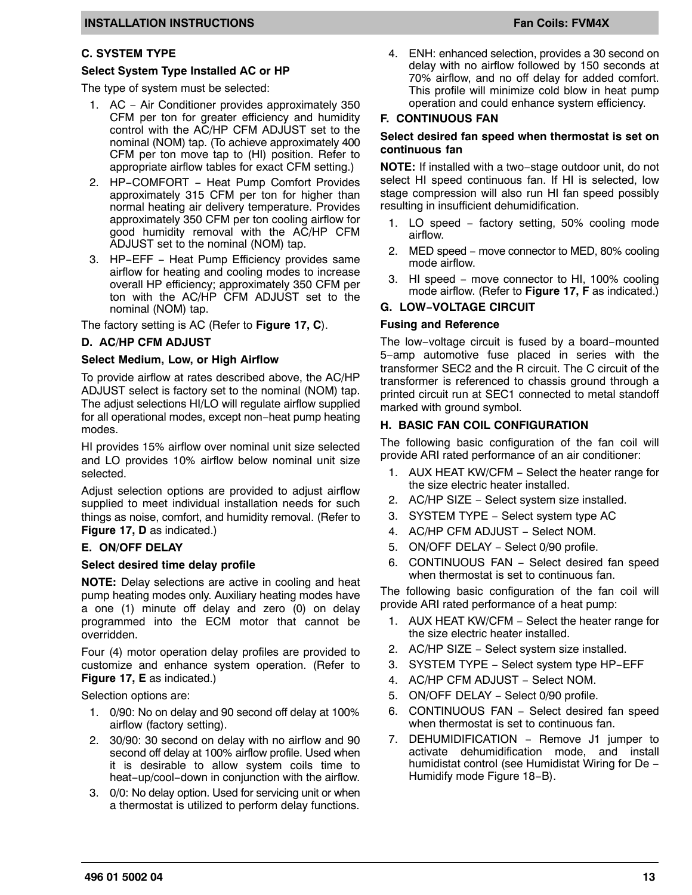#### **C. SYSTEM TYPE**

#### **Select System Type Installed AC or HP**

The type of system must be selected:

- 1. AC − Air Conditioner provides approximately 350 CFM per ton for greater efficiency and humidity control with the AC/HP CFM ADJUST set to the nominal (NOM) tap. (To achieve approximately 400 CFM per ton move tap to (HI) position. Refer to appropriate airflow tables for exact CFM setting.)
- 2. HP–COMFORT Heat Pump Comfort Provides approximately 315 CFM per ton for higher than normal heating air delivery temperature. Provides approximately 350 CFM per ton cooling airflow for good humidity removal with the AC/HP CFM ADJUST set to the nominal (NOM) tap.
- 3. HP−EFF − Heat Pump Efficiency provides same airflow for heating and cooling modes to increase overall HP efficiency; approximately 350 CFM per ton with the AC/HP CFM ADJUST set to the nominal (NOM) tap.

The factory setting is AC (Refer to **[Figure 17](#page-11-0), C**).

#### **D. AC/HP CFM ADJUST**

#### **Select Medium, Low, or High Airflow**

To provide airflow at rates described above, the AC/HP ADJUST select is factory set to the nominal (NOM) tap. The adjust selections HI/LO will regulate airflow supplied for all operational modes, except non−heat pump heating modes.

HI provides 15% airflow over nominal unit size selected and LO provides 10% airflow below nominal unit size selected.

Adjust selection options are provided to adjust airflow supplied to meet individual installation needs for such things as noise, comfort, and humidity removal. (Refer to **[Figure 17,](#page-11-0) D** as indicated.)

#### **E. ON/OFF DELAY**

#### **Select desired time delay profile**

**NOTE:** Delay selections are active in cooling and heat pump heating modes only. Auxiliary heating modes have a one (1) minute off delay and zero (0) on delay programmed into the ECM motor that cannot be overridden.

Four (4) motor operation delay profiles are provided to customize and enhance system operation. (Refer to **[Figure 17,](#page-11-0) E** as indicated.)

Selection options are:

- 1. 0/90: No on delay and 90 second off delay at 100% airflow (factory setting).
- 2. 30/90: 30 second on delay with no airflow and 90 second off delay at 100% airflow profile. Used when it is desirable to allow system coils time to heat−up/cool−down in conjunction with the airflow.
- 3. 0/0: No delay option. Used for servicing unit or when a thermostat is utilized to perform delay functions.

4. ENH: enhanced selection, provides a 30 second on delay with no airflow followed by 150 seconds at 70% airflow, and no off delay for added comfort. This profile will minimize cold blow in heat pump operation and could enhance system efficiency.

#### **F. CONTINUOUS FAN**

#### **Select desired fan speed when thermostat is set on continuous fan**

**NOTE:** If installed with a two−stage outdoor unit, do not select HI speed continuous fan. If HI is selected, low stage compression will also run HI fan speed possibly resulting in insufficient dehumidification.

- 1. LO speed − factory setting, 50% cooling mode airflow.
- 2. MED speed move connector to MED, 80% cooling mode airflow.
- 3. HI speed − move connector to HI, 100% cooling mode airflow. (Refer to **[Figure 17,](#page-11-0) F** as indicated.)

#### **G. LOW−VOLTAGE CIRCUIT**

#### **Fusing and Reference**

The low−voltage circuit is fused by a board−mounted 5−amp automotive fuse placed in series with the transformer SEC2 and the R circuit. The C circuit of the transformer is referenced to chassis ground through a printed circuit run at SEC1 connected to metal standoff marked with ground symbol.

#### **H. BASIC FAN COIL CONFIGURATION**

The following basic configuration of the fan coil will provide ARI rated performance of an air conditioner:

- 1. AUX HEAT KW/CFM − Select the heater range for the size electric heater installed.
- 2. AC/HP SIZE Select system size installed.
- 3. SYSTEM TYPE − Select system type AC
- 4. AC/HP CFM ADJUST − Select NOM.
- 5. ON/OFF DELAY − Select 0/90 profile.
- 6. CONTINUOUS FAN − Select desired fan speed when thermostat is set to continuous fan.

The following basic configuration of the fan coil will provide ARI rated performance of a heat pump:

- 1. AUX HEAT KW/CFM − Select the heater range for the size electric heater installed.
- 2. AC/HP SIZE Select system size installed.
- 3. SYSTEM TYPE − Select system type HP−EFF
- 4. AC/HP CFM ADJUST − Select NOM.
- 5. ON/OFF DELAY − Select 0/90 profile.
- 6. CONTINUOUS FAN − Select desired fan speed when thermostat is set to continuous fan.
- 7. DEHUMIDIFICATION Remove J1 jumper to activate dehumidification mode, and install humidistat control (see Humidistat Wiring for De − Humidify mode Figure 18−B).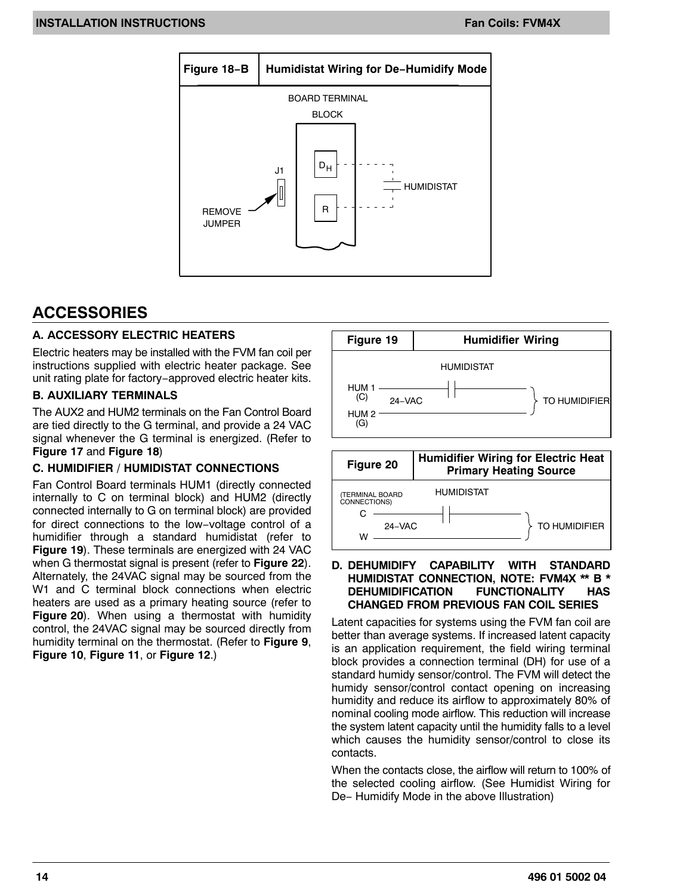

## **ACCESSORIES**

#### **A. ACCESSORY ELECTRIC HEATERS**

Electric heaters may be installed with the FVM fan coil per instructions supplied with electric heater package. See unit rating plate for factory−approved electric heater kits.

#### **B. AUXILIARY TERMINALS**

The AUX2 and HUM2 terminals on the Fan Control Board are tied directly to the G terminal, and provide a 24 VAC signal whenever the G terminal is energized. (Refer to **[Figure 17](#page-11-0)** and **[Figure 18](#page-11-0)**)

#### **C. HUMIDIFIER / HUMIDISTAT CONNECTIONS**

Fan Control Board terminals HUM1 (directly connected internally to C on terminal block) and HUM2 (directly connected internally to G on terminal block) are provided for direct connections to the low−voltage control of a humidifier through a standard humidistat (refer to **Figure 19**). These terminals are energized with 24 VAC when G thermostat signal is present (refer to **[Figure 22](#page-19-0)**). Alternately, the 24VAC signal may be sourced from the W1 and C terminal block connections when electric heaters are used as a primary heating source (refer to **Figure 20**). When using a thermostat with humidity control, the 24VAC signal may be sourced directly from humidity terminal on the thermostat. (Refer to **[Figure 9](#page-8-0)**, **[Figure 10](#page-8-0)**, **[Figure 11](#page-8-0)**, or **[Figure 12](#page-8-0)**.)





#### **D. DEHUMIDIFY CAPABILITY WITH STANDARD HUMIDISTAT CONNECTION, NOTE: FVM4X \*\* B \* DEHUMIDIFICATION FUNCTIONALITY HAS CHANGED FROM PREVIOUS FAN COIL SERIES**

Latent capacities for systems using the FVM fan coil are better than average systems. If increased latent capacity is an application requirement, the field wiring terminal block provides a connection terminal (DH) for use of a standard humidy sensor/control. The FVM will detect the humidy sensor/control contact opening on increasing humidity and reduce its airflow to approximately 80% of nominal cooling mode airflow. This reduction will increase the system latent capacity until the humidity falls to a level which causes the humidity sensor/control to close its contacts.

When the contacts close, the airflow will return to 100% of the selected cooling airflow. (See Humidist Wiring for De– Humidify Mode in the above Illustration)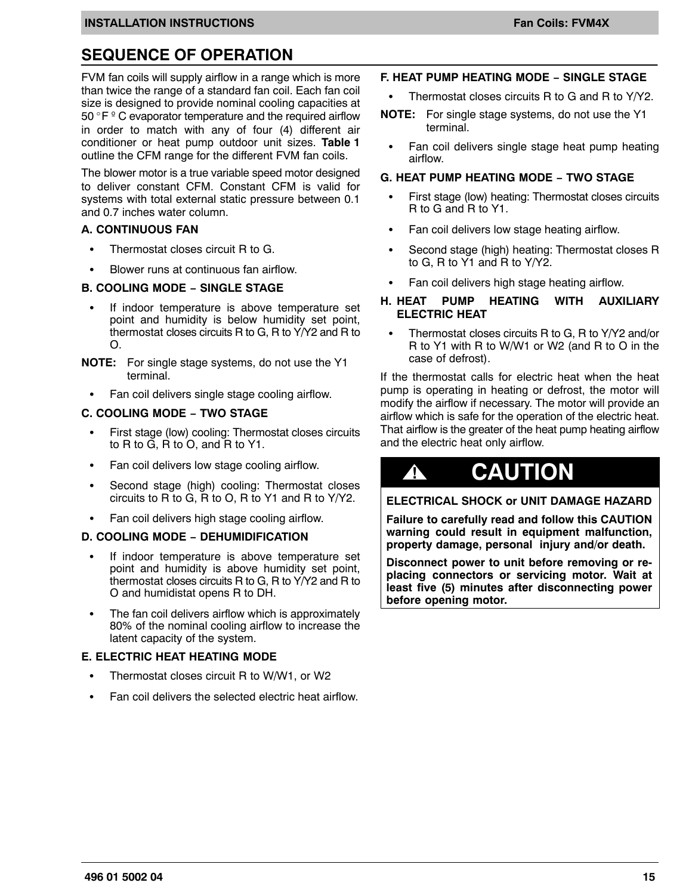## **SEQUENCE OF OPERATION**

FVM fan coils will supply airflow in a range which is more than twice the range of a standard fan coil. Each fan coil size is designed to provide nominal cooling capacities at 50 -F º C evaporator temperature and the required airflow in order to match with any of four (4) different air conditioner or heat pump outdoor unit sizes. **[Table 1](#page-16-0)** outline the CFM range for the different FVM fan coils.

The blower motor is a true variable speed motor designed to deliver constant CFM. Constant CFM is valid for systems with total external static pressure between 0.1 and 0.7 inches water column.

#### **A. CONTINUOUS FAN**

- $\bullet$ Thermostat closes circuit R to G.
- $\bullet$ Blower runs at continuous fan airflow.

#### **B. COOLING MODE − SINGLE STAGE**

- $\overline{a}$  If indoor temperature is above temperature set point and humidity is below humidity set point, thermostat closes circuits R to G, R to Y/Y2 and R to O.
- **NOTE:** For single stage systems, do not use the Y1 terminal.
	- $\overline{a}$ Fan coil delivers single stage cooling airflow.

#### **C. COOLING MODE − TWO STAGE**

- $\overline{a}$  First stage (low) cooling: Thermostat closes circuits to R to G, R to O, and R to Y1.
- $\overline{a}$ Fan coil delivers low stage cooling airflow.
- $\bullet$  Second stage (high) cooling: Thermostat closes circuits to R to G, R to O, R to Y1 and R to Y/Y2.
- $\overline{a}$ Fan coil delivers high stage cooling airflow.

#### **D. COOLING MODE − DEHUMIDIFICATION**

- $\bullet$  If indoor temperature is above temperature set point and humidity is above humidity set point, thermostat closes circuits R to G, R to Y/Y2 and R to O and humidistat opens R to DH.
- $\bullet$  The fan coil delivers airflow which is approximately 80% of the nominal cooling airflow to increase the latent capacity of the system.

#### **E. ELECTRIC HEAT HEATING MODE**

- $\overline{a}$ Thermostat closes circuit R to W/W1, or W2
- $\overline{a}$ Fan coil delivers the selected electric heat airflow.

#### **F. HEAT PUMP HEATING MODE − SINGLE STAGE**

- $\overline{a}$ Thermostat closes circuits R to G and R to Y/Y2.
- **NOTE:** For single stage systems, do not use the Y1 terminal.
	- $\overline{a}$  Fan coil delivers single stage heat pump heating airflow.

#### **G. HEAT PUMP HEATING MODE − TWO STAGE**

- $\overline{a}$  First stage (low) heating: Thermostat closes circuits R to G and R to Y1.
- $\overline{a}$ Fan coil delivers low stage heating airflow.
- $\overline{a}$  Second stage (high) heating: Thermostat closes R to G, R to Y1 and R to Y/Y2.
- $\overline{a}$ Fan coil delivers high stage heating airflow.

#### **H. HEAT PUMP HEATING WITH AUXILIARY ELECTRIC HEAT**

 $\overline{a}$  Thermostat closes circuits R to G, R to Y/Y2 and/or R to Y1 with R to W/W1 or W2 (and R to O in the case of defrost).

If the thermostat calls for electric heat when the heat pump is operating in heating or defrost, the motor will modify the airflow if necessary. The motor will provide an airflow which is safe for the operation of the electric heat. That airflow is the greater of the heat pump heating airflow and the electric heat only airflow.

## **! CAUTION**

**ELECTRICAL SHOCK or UNIT DAMAGE HAZARD**

**Failure to carefully read and follow this CAUTION warning could result in equipment malfunction, property damage, personal injury and/or death.**

**Disconnect power to unit before removing or replacing connectors or servicing motor. Wait at least five (5) minutes after disconnecting power before opening motor.**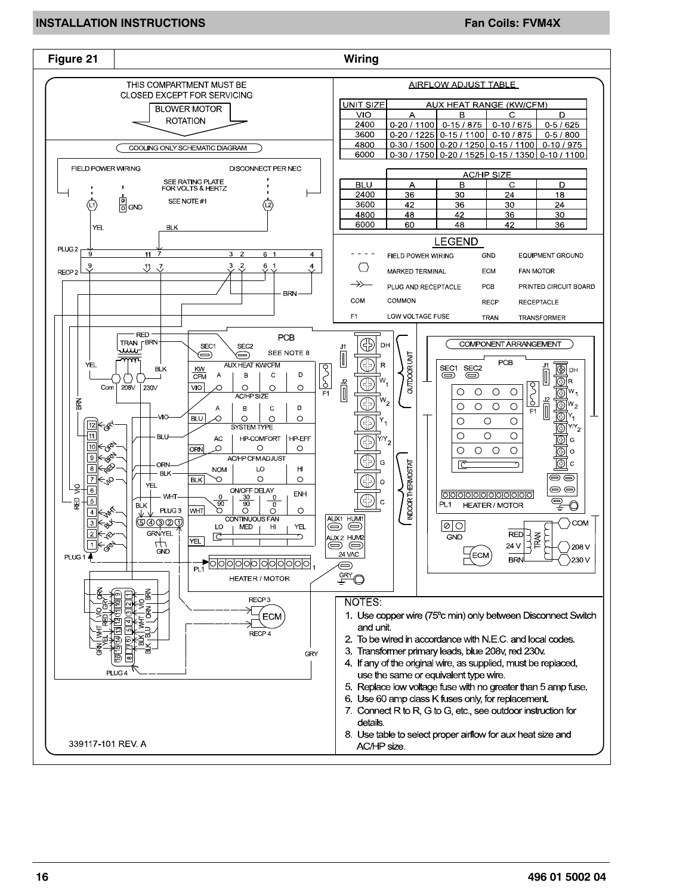#### **INSTALLATION INSTRUCTIONS FAN ALLATION INSTRUCTIONS**

![](_page_15_Figure_2.jpeg)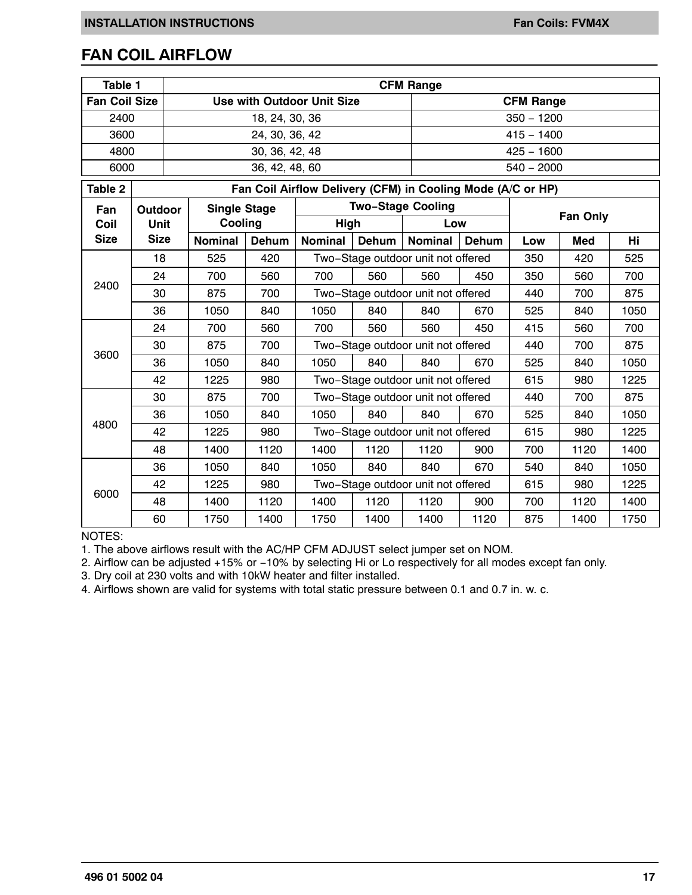### <span id="page-16-0"></span>**FAN COIL AIRFLOW**

| Table 1              |                |                                                   |                     |                |                                                             |              | <b>CFM Range</b>                   |                                    |                 |      |           |  |  |
|----------------------|----------------|---------------------------------------------------|---------------------|----------------|-------------------------------------------------------------|--------------|------------------------------------|------------------------------------|-----------------|------|-----------|--|--|
| <b>Fan Coil Size</b> |                | <b>Use with Outdoor Unit Size</b>                 |                     |                |                                                             |              |                                    | <b>CFM Range</b>                   |                 |      |           |  |  |
| 2400                 | 18, 24, 30, 36 |                                                   |                     |                |                                                             | $350 - 1200$ |                                    |                                    |                 |      |           |  |  |
| 3600                 |                |                                                   |                     | 24, 30, 36, 42 |                                                             |              |                                    |                                    | $415 - 1400$    |      |           |  |  |
| 4800                 |                |                                                   |                     | 30, 36, 42, 48 |                                                             |              |                                    |                                    | $425 - 1600$    |      |           |  |  |
| 6000                 |                |                                                   |                     | 36, 42, 48, 60 |                                                             |              |                                    |                                    | $540 - 2000$    |      |           |  |  |
| Table 2              |                |                                                   |                     |                | Fan Coil Airflow Delivery (CFM) in Cooling Mode (A/C or HP) |              |                                    |                                    |                 |      |           |  |  |
| Fan                  | Outdoor        |                                                   | <b>Single Stage</b> |                |                                                             |              | <b>Two-Stage Cooling</b>           |                                    |                 |      |           |  |  |
| Coil                 | <b>Unit</b>    |                                                   | Cooling             |                | High                                                        |              | Low                                |                                    | <b>Fan Only</b> |      |           |  |  |
| <b>Size</b>          | <b>Size</b>    |                                                   | <b>Nominal</b>      | <b>Dehum</b>   | <b>Nominal</b>                                              | <b>Dehum</b> | <b>Nominal</b>                     | Dehum                              | Low             | Med  | <b>Hi</b> |  |  |
|                      | 18             |                                                   | 525                 | 420            |                                                             |              | Two-Stage outdoor unit not offered |                                    | 350             | 420  | 525       |  |  |
| 2400                 | 24             |                                                   | 700                 | 560            | 700                                                         | 560          | 560                                | 450                                | 350             | 560  | 700       |  |  |
|                      | 30             |                                                   | 875                 | 700            |                                                             |              |                                    | Two-Stage outdoor unit not offered |                 | 700  | 875       |  |  |
|                      | 36             |                                                   | 1050                | 840            | 1050                                                        | 840          | 840                                | 670                                | 525             | 840  | 1050      |  |  |
|                      | 24             |                                                   | 700                 | 560            | 700                                                         | 560          | 560                                | 450                                | 415             | 560  | 700       |  |  |
|                      | 30             |                                                   | 875                 | 700            |                                                             |              | Two-Stage outdoor unit not offered | 440                                | 700             | 875  |           |  |  |
| 3600                 | 36             |                                                   | 1050                | 840            | 1050                                                        | 840          | 840                                | 670                                | 525             | 840  | 1050      |  |  |
|                      | 42             |                                                   | 1225                | 980            |                                                             |              | Two-Stage outdoor unit not offered | 615                                | 980             | 1225 |           |  |  |
|                      | 30             |                                                   | 875                 | 700            |                                                             |              | Two-Stage outdoor unit not offered |                                    | 440             | 700  | 875       |  |  |
|                      | 36             |                                                   | 1050                | 840            | 1050                                                        | 840          | 840                                | 670                                | 525             | 840  | 1050      |  |  |
| 4800                 | 42             | Two-Stage outdoor unit not offered<br>1225<br>980 |                     |                |                                                             | 615          | 980                                | 1225                               |                 |      |           |  |  |
|                      | 48             |                                                   | 1400                | 1120           | 1400                                                        | 1120         | 1120                               | 900                                | 700             | 1120 | 1400      |  |  |
|                      | 36             |                                                   | 1050                | 840            | 1050                                                        | 840          | 840                                | 670                                | 540             | 840  | 1050      |  |  |
|                      | 42             |                                                   | 1225                | 980            |                                                             |              |                                    | Two-Stage outdoor unit not offered |                 | 980  | 1225      |  |  |
| 6000                 | 48             |                                                   | 1400                | 1120           | 1400                                                        | 1120         | 1120                               | 900                                | 700             | 1120 | 1400      |  |  |
|                      | 60             |                                                   | 1750                | 1400           | 1750                                                        | 1400         | 1400                               | 1120                               | 875             | 1400 | 1750      |  |  |

#### NOTES:

1. The above airflows result with the AC/HP CFM ADJUST select jumper set on NOM.

2. Airflow can be adjusted +15% or −10% by selecting Hi or Lo respectively for all modes except fan only.

3. Dry coil at 230 volts and with 10kW heater and filter installed.

4. Airflows shown are valid for systems with total static pressure between 0.1 and 0.7 in. w. c.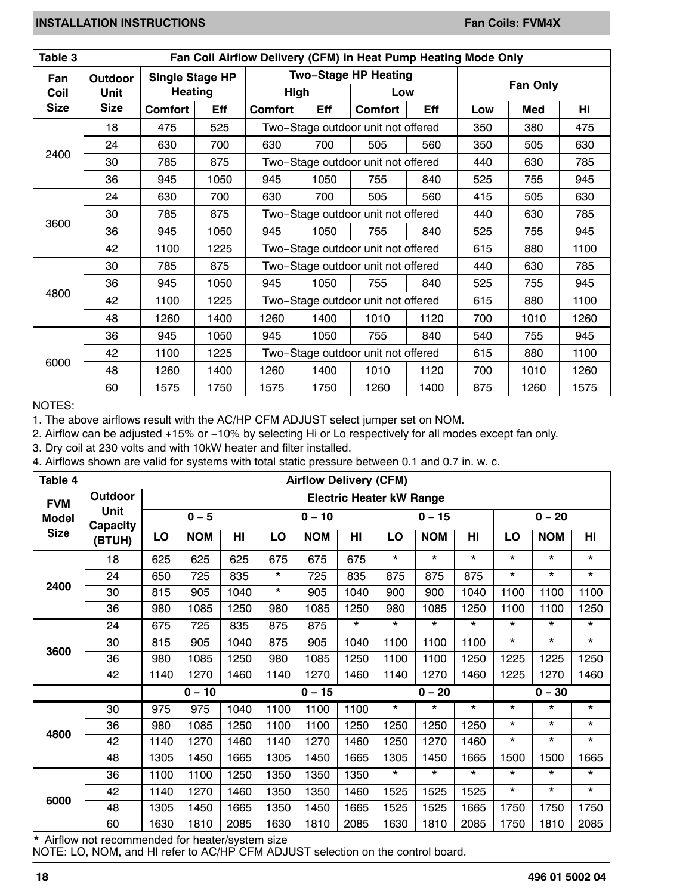<span id="page-17-0"></span>

| Table 3     | Fan Coil Airflow Delivery (CFM) in Heat Pump Heating Mode Only |                                                       |                                      |                          |                                    |                                    |                 |     |      |      |
|-------------|----------------------------------------------------------------|-------------------------------------------------------|--------------------------------------|--------------------------|------------------------------------|------------------------------------|-----------------|-----|------|------|
| Fan         | Outdoor                                                        | <b>Two-Stage HP Heating</b><br><b>Single Stage HP</b> |                                      |                          |                                    |                                    |                 |     |      |      |
| Coil        | <b>Unit</b>                                                    |                                                       | <b>Heating</b><br><b>High</b><br>Low |                          |                                    |                                    | <b>Fan Only</b> |     |      |      |
| <b>Size</b> | <b>Size</b>                                                    | <b>Comfort</b>                                        | Eff                                  | <b>Comfort</b>           | Eff                                | <b>Comfort</b>                     | Eff             | Low | Med  | Hi   |
|             | 18                                                             | 475                                                   | 525                                  |                          |                                    | Two-Stage outdoor unit not offered | 350             | 380 | 475  |      |
|             | 24                                                             | 630                                                   | 700                                  | 630                      | 700                                | 505                                | 560             | 350 | 505  | 630  |
| 2400        | 30                                                             | 785                                                   | 875                                  |                          |                                    | Two-Stage outdoor unit not offered | 440             | 630 | 785  |      |
|             | 36                                                             | 945                                                   | 1050                                 | 945                      | 1050                               | 755                                | 840             | 525 | 755  | 945  |
|             | 24                                                             | 630                                                   | 700                                  | 630<br>700<br>505<br>560 |                                    |                                    |                 | 415 | 505  | 630  |
|             | 30                                                             | 785                                                   | 875                                  |                          |                                    | Two-Stage outdoor unit not offered | 440             | 630 | 785  |      |
| 3600        | 36                                                             | 945                                                   | 1050                                 | 945                      | 1050                               | 755                                | 840             | 525 | 755  | 945  |
|             | 42                                                             | 1100                                                  | 1225                                 |                          |                                    | Two-Stage outdoor unit not offered | 615             | 880 | 1100 |      |
|             | 30                                                             | 785                                                   | 875                                  |                          |                                    | Two-Stage outdoor unit not offered | 440             | 630 | 785  |      |
|             | 36                                                             | 945                                                   | 1050                                 | 945                      | 1050                               | 755                                | 840             | 525 | 755  | 945  |
| 4800        | 42                                                             | 1100                                                  | 1225                                 |                          |                                    | Two-Stage outdoor unit not offered | 615             | 880 | 1100 |      |
|             | 48                                                             | 1260                                                  | 1400                                 | 1260                     | 1400                               | 1010                               | 1120            | 700 | 1010 | 1260 |
|             | 36                                                             | 945                                                   | 1050                                 | 945                      | 1050                               | 755                                | 840             | 540 | 755  | 945  |
|             | 42                                                             | 1100                                                  | 1225                                 |                          | Two-Stage outdoor unit not offered |                                    |                 |     | 880  | 1100 |
| 6000        | 48                                                             | 1260                                                  | 1400                                 | 1260                     | 1400                               | 1010                               | 1120            | 700 | 1010 | 1260 |
|             | 60                                                             | 1575                                                  | 1750                                 | 1575                     | 1750                               | 1260                               | 1400            | 875 | 1260 | 1575 |

NOTES:

1. The above airflows result with the AC/HP CFM ADJUST select jumper set on NOM.

2. Airflow can be adjusted +15% or −10% by selecting Hi or Lo respectively for all modes except fan only.

3. Dry coil at 230 volts and with 10kW heater and filter installed.

4. Airflows shown are valid for systems with total static pressure between 0.1 and 0.7 in. w. c.

| Table 4      | <b>Airflow Delivery (CFM)</b> |         |                                 |      |          |            |         |          |            |                 |          |            |         |
|--------------|-------------------------------|---------|---------------------------------|------|----------|------------|---------|----------|------------|-----------------|----------|------------|---------|
| <b>FVM</b>   | Outdoor                       |         | <b>Electric Heater kW Range</b> |      |          |            |         |          |            |                 |          |            |         |
| <b>Model</b> | Unit<br>Capacity<br>(BTUH)    | $0 - 5$ |                                 |      | $0 - 10$ |            |         | $0 - 15$ |            |                 | $0 - 20$ |            |         |
| <b>Size</b>  |                               | LO      | <b>NOM</b>                      | HI   | LO       | <b>NOM</b> | HI      | LO       | <b>NOM</b> | H <sub>II</sub> | LO       | <b>NOM</b> | HI      |
|              | 18                            | 625     | 625                             | 625  | 675      | 675        | 675     | $\star$  | $\star$    | $\star$         | $\star$  | $\star$    | $\star$ |
|              | 24                            | 650     | 725                             | 835  | *        | 725        | 835     | 875      | 875        | 875             | $\star$  | $\star$    | $\star$ |
| 2400         | 30                            | 815     | 905                             | 1040 | $\star$  | 905        | 1040    | 900      | 900        | 1040            | 1100     | 1100       | 1100    |
|              | 36                            | 980     | 1085                            | 1250 | 980      | 1085       | 1250    | 980      | 1085       | 1250            | 1100     | 1100       | 1250    |
|              | 24                            | 675     | 725                             | 835  | 875      | 875        | $\star$ | $\star$  | $\star$    | $\star$         | $\star$  | $\star$    | *       |
| 3600         | 30                            | 815     | 905                             | 1040 | 875      | 905        | 1040    | 1100     | 1100       | 1100            | $\star$  | $\star$    | $\star$ |
|              | 36                            | 980     | 1085                            | 1250 | 980      | 1085       | 1250    | 1100     | 1100       | 1250            | 1225     | 1225       | 1250    |
|              | 42                            | 1140    | 1270                            | 1460 | 1140     | 1270       | 1460    | 1140     | 1270       | 1460            | 1225     | 1270       | 1460    |
|              |                               |         | $0 - 10$                        |      | $0 - 15$ |            |         | $0 - 20$ |            |                 |          | $0 - 30$   |         |
|              | 30                            | 975     | 975                             | 1040 | 1100     | 1100       | 1100    | $\star$  | $\star$    | $\star$         | *        | *          | *       |
|              | 36                            | 980     | 1085                            | 1250 | 1100     | 1100       | 1250    | 1250     | 1250       | 1250            | $\star$  | $\star$    | $\star$ |
| 4800         | 42                            | 1140    | 1270                            | 1460 | 1140     | 1270       | 1460    | 1250     | 1270       | 1460            | *        | $\star$    | *       |
|              | 48                            | 1305    | 1450                            | 1665 | 1305     | 1450       | 1665    | 1305     | 1450       | 1665            | 1500     | 1500       | 1665    |
|              | 36                            | 1100    | 1100                            | 1250 | 1350     | 1350       | 1350    | $\star$  | $\star$    | $\star$         | $\star$  | $\star$    | *       |
| 6000         | 42                            | 1140    | 1270                            | 1460 | 1350     | 1350       | 1460    | 1525     | 1525       | 1525            | $\star$  | $\star$    | $\star$ |
|              | 48                            | 1305    | 1450                            | 1665 | 1350     | 1450       | 1665    | 1525     | 1525       | 1665            | 1750     | 1750       | 1750    |
|              | 60                            | 1630    | 1810                            | 2085 | 1630     | 1810       | 2085    | 1630     | 1810       | 2085            | 1750     | 1810       | 2085    |

\* Airflow not recommended for heater/system size

NOTE: LO, NOM, and HI refer to AC/HP CFM ADJUST selection on the control board.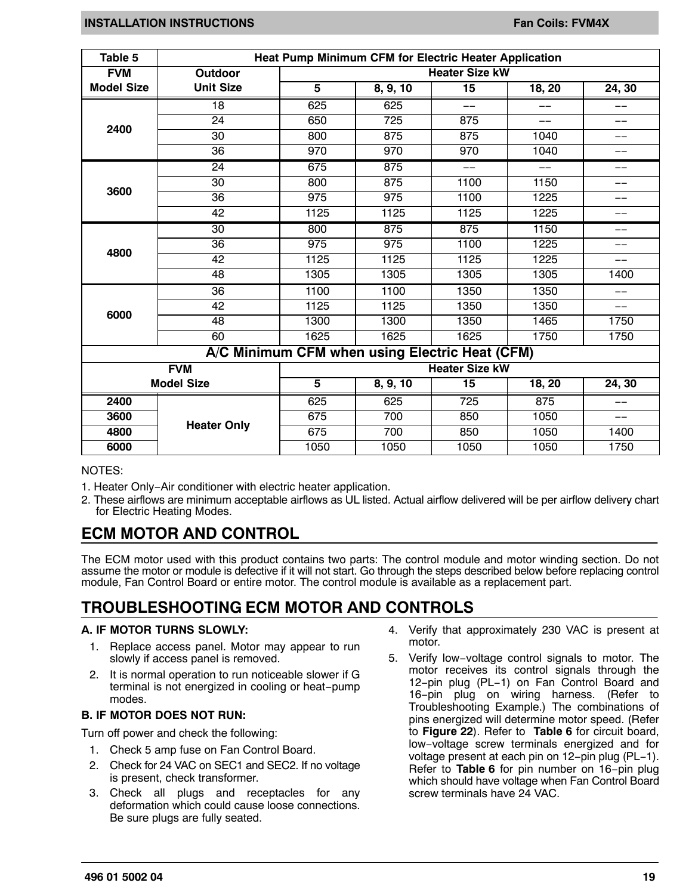<span id="page-18-0"></span>

| Table 5           | <b>Heat Pump Minimum CFM for Electric Heater Application</b> |                         |                                                |                       |        |            |  |  |  |  |
|-------------------|--------------------------------------------------------------|-------------------------|------------------------------------------------|-----------------------|--------|------------|--|--|--|--|
| <b>FVM</b>        | Outdoor                                                      |                         |                                                | <b>Heater Size kW</b> |        |            |  |  |  |  |
| <b>Model Size</b> | <b>Unit Size</b>                                             | 5                       | 8, 9, 10                                       | 15                    | 18, 20 | 24, 30     |  |  |  |  |
|                   | $\overline{18}$                                              | 625                     | 625                                            | $-$                   |        |            |  |  |  |  |
|                   | 24                                                           | 650                     | 725                                            | 875                   |        | --         |  |  |  |  |
| 2400              | 30                                                           | 800                     | 875                                            | 875                   | 1040   | --         |  |  |  |  |
|                   | 36                                                           | 970                     | 970                                            | 970                   | 1040   | ——         |  |  |  |  |
|                   | $\overline{24}$                                              | 675                     | 875                                            | $-$                   | $--$   | --         |  |  |  |  |
|                   | 30                                                           | 800                     | 875                                            | 1100                  | 1150   | ——         |  |  |  |  |
| 3600              | $\overline{36}$                                              | 975                     | 975                                            | 1100                  | 1225   | --         |  |  |  |  |
|                   | $\overline{42}$                                              | 1125                    | 1125                                           | 1125                  | 1225   | --         |  |  |  |  |
| 4800              | $\overline{30}$                                              | 800                     | 875                                            | 875                   | 1150   | --         |  |  |  |  |
|                   | 36                                                           | 975                     | 975                                            | 1100                  | 1225   | ——         |  |  |  |  |
|                   | 42                                                           | 1125                    | 1125                                           | 1125                  | 1225   | --         |  |  |  |  |
|                   | 48                                                           | 1305                    | 1305                                           | 1305                  | 1305   | 1400       |  |  |  |  |
|                   | $\overline{36}$                                              | 1100                    | 1100                                           | 1350                  | 1350   | --         |  |  |  |  |
|                   | 42                                                           | 1125                    | 1125                                           | 1350                  | 1350   | $-$        |  |  |  |  |
| 6000              | 48                                                           | 1300                    | 1300                                           | 1350                  | 1465   | 1750       |  |  |  |  |
|                   | 60                                                           | 1625                    | 1625                                           | 1625                  | 1750   | 1750       |  |  |  |  |
|                   |                                                              |                         | A/C Minimum CFM when using Electric Heat (CFM) |                       |        |            |  |  |  |  |
|                   | <b>FVM</b>                                                   |                         |                                                | <b>Heater Size kW</b> |        |            |  |  |  |  |
|                   | <b>Model Size</b>                                            | $\overline{\mathbf{5}}$ | 8, 9, 10                                       | 15                    | 18, 20 | 24, 30     |  |  |  |  |
| 2400              |                                                              | 625                     | 625                                            | 725                   | 875    | --         |  |  |  |  |
| 3600              |                                                              | 675                     | 700                                            | 850                   | 1050   | $\qquad -$ |  |  |  |  |
| 4800              | <b>Heater Only</b>                                           | 675                     | 700                                            | 850                   | 1050   | 1400       |  |  |  |  |
| 6000              |                                                              | 1050                    | 1050                                           | 1050                  | 1050   | 1750       |  |  |  |  |

#### NOTES:

- 1. Heater Only−Air conditioner with electric heater application.
- 2. These airflows are minimum acceptable airflows as UL listed. Actual airflow delivered will be per airflow delivery chart for Electric Heating Modes.

## **ECM MOTOR AND CONTROL**

The ECM motor used with this product contains two parts: The control module and motor winding section. Do not assume the motor or module is defective if it will not start. Go through the steps described below before replacing control module, Fan Control Board or entire motor. The control module is available as a replacement part.

## **TROUBLESHOOTING ECM MOTOR AND CONTROLS**

#### **A. IF MOTOR TURNS SLOWLY:**

- 1. Replace access panel. Motor may appear to run slowly if access panel is removed.
- 2. It is normal operation to run noticeable slower if G terminal is not energized in cooling or heat−pump modes.

#### **B. IF MOTOR DOES NOT RUN:**

Turn off power and check the following:

- 1. Check 5 amp fuse on Fan Control Board.
- 2. Check for 24 VAC on SEC1 and SEC2. If no voltage is present, check transformer.
- 3. Check all plugs and receptacles for any deformation which could cause loose connections. Be sure plugs are fully seated.
- 4. Verify that approximately 230 VAC is present at motor.
- 5. Verify low−voltage control signals to motor. The motor receives its control signals through the 12−pin plug (PL−1) on Fan Control Board and 16−pin plug on wiring harness. (Refer to Troubleshooting Example.) The combinations of pins energized will determine motor speed. (Refer to **[Figure 22](#page-19-0)**). Refer to **[Table 6](#page-20-0)** for circuit board, low−voltage screw terminals energized and for voltage present at each pin on 12−pin plug (PL−1). Refer to **[Table 6](#page-20-0)** for pin number on 16−pin plug which should have voltage when Fan Control Board screw terminals have 24 VAC.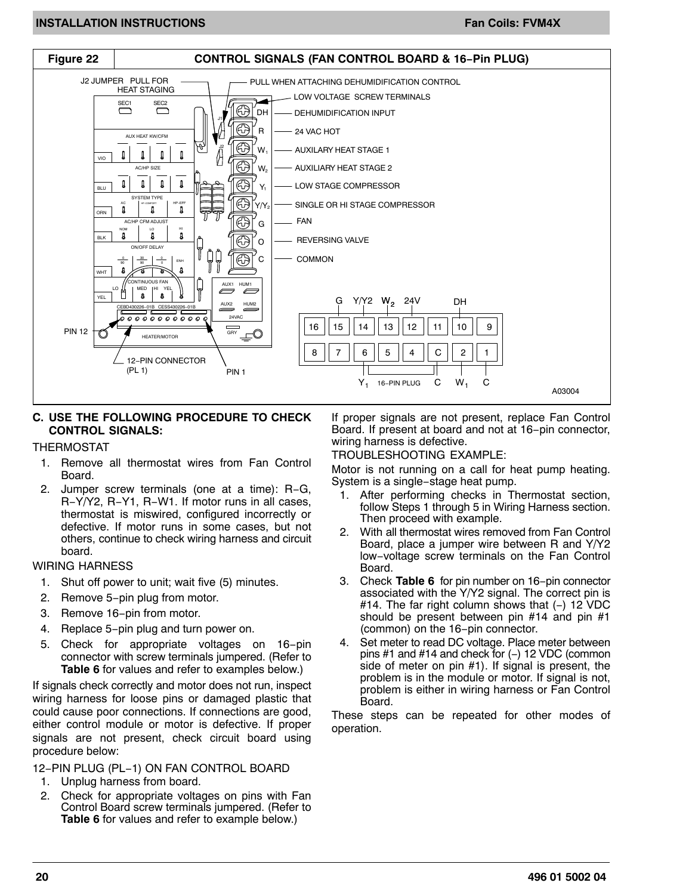<span id="page-19-0"></span>![](_page_19_Figure_2.jpeg)

#### **C. USE THE FOLLOWING PROCEDURE TO CHECK CONTROL SIGNALS:**

#### THERMOSTAT

- 1. Remove all thermostat wires from Fan Control Board.
- 2. Jumper screw terminals (one at a time): R−G, R−Y/Y2, R−Y1, R−W1. If motor runs in all cases, thermostat is miswired, configured incorrectly or defective. If motor runs in some cases, but not others, continue to check wiring harness and circuit board.

#### WIRING HARNESS

- 1. Shut off power to unit; wait five (5) minutes.
- 2. Remove 5−pin plug from motor.
- 3. Remove 16−pin from motor.
- 4. Replace 5−pin plug and turn power on.
- 5. Check for appropriate voltages on 16−pin connector with screw terminals jumpered. (Refer to **[Table 6](#page-20-0)** for values and refer to examples below.)

If signals check correctly and motor does not run, inspect wiring harness for loose pins or damaged plastic that could cause poor connections. If connections are good, either control module or motor is defective. If proper signals are not present, check circuit board using procedure below:

12−PIN PLUG (PL−1) ON FAN CONTROL BOARD

- 1. Unplug harness from board.
- 2. Check for appropriate voltages on pins with Fan Control Board screw terminals jumpered. (Refer to **[Table 6](#page-20-0)** for values and refer to example below.)

If proper signals are not present, replace Fan Control Board. If present at board and not at 16−pin connector, wiring harness is defective.

#### TROUBLESHOOTING EXAMPLE:

Motor is not running on a call for heat pump heating. System is a single−stage heat pump.

- 1. After performing checks in Thermostat section, follow Steps 1 through 5 in Wiring Harness section. Then proceed with example.
- 2. With all thermostat wires removed from Fan Control Board, place a jumper wire between R and Y/Y2 low−voltage screw terminals on the Fan Control Board.
- 3. Check **[Table 6](#page-20-0)** for pin number on 16−pin connector associated with the Y/Y2 signal. The correct pin is #14. The far right column shows that (−) 12 VDC should be present between pin #14 and pin #1 (common) on the 16−pin connector.
- 4. Set meter to read DC voltage. Place meter between pins #1 and #14 and check for (−) 12 VDC (common side of meter on pin #1). If signal is present, the problem is in the module or motor. If signal is not, problem is either in wiring harness or Fan Control Board.

These steps can be repeated for other modes of operation.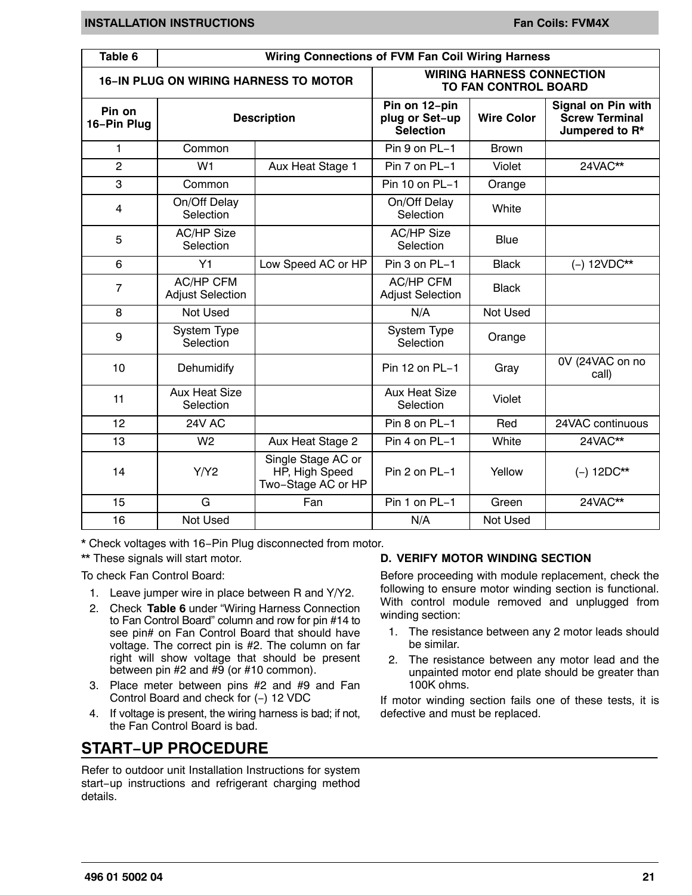<span id="page-20-0"></span>

| Table 6               | <b>Wiring Connections of FVM Fan Coil Wiring Harness</b> |                                                            |                                                                 |                   |                                                                      |  |  |  |  |  |
|-----------------------|----------------------------------------------------------|------------------------------------------------------------|-----------------------------------------------------------------|-------------------|----------------------------------------------------------------------|--|--|--|--|--|
|                       |                                                          | <b>16-IN PLUG ON WIRING HARNESS TO MOTOR</b>               | <b>WIRING HARNESS CONNECTION</b><br><b>TO FAN CONTROL BOARD</b> |                   |                                                                      |  |  |  |  |  |
| Pin on<br>16-Pin Plug |                                                          | <b>Description</b>                                         | Pin on 12-pin<br>plug or Set-up<br><b>Selection</b>             | <b>Wire Color</b> | <b>Signal on Pin with</b><br><b>Screw Terminal</b><br>Jumpered to R* |  |  |  |  |  |
| 1                     | Common                                                   |                                                            | Pin 9 on PL-1                                                   | <b>Brown</b>      |                                                                      |  |  |  |  |  |
| $\overline{2}$        | W <sub>1</sub>                                           | Aux Heat Stage 1                                           | Pin 7 on PL-1                                                   | Violet            | 24VAC**                                                              |  |  |  |  |  |
| 3                     | Common                                                   |                                                            | Pin 10 on PL-1                                                  | Orange            |                                                                      |  |  |  |  |  |
| $\overline{4}$        | On/Off Delay<br>Selection                                |                                                            | On/Off Delay<br>Selection                                       | White             |                                                                      |  |  |  |  |  |
| 5                     | <b>AC/HP Size</b><br>Selection                           |                                                            | <b>AC/HP Size</b><br>Selection                                  | <b>Blue</b>       |                                                                      |  |  |  |  |  |
| 6                     | Y1                                                       | Low Speed AC or HP                                         | Pin 3 on PL-1                                                   | <b>Black</b>      | $(-) 12VDC**$                                                        |  |  |  |  |  |
| 7                     | <b>AC/HP CFM</b><br><b>Adjust Selection</b>              |                                                            | <b>AC/HP CFM</b><br><b>Adjust Selection</b>                     | <b>Black</b>      |                                                                      |  |  |  |  |  |
| 8                     | Not Used                                                 |                                                            | N/A                                                             | Not Used          |                                                                      |  |  |  |  |  |
| 9                     | System Type<br>Selection                                 |                                                            | System Type<br>Selection                                        | Orange            |                                                                      |  |  |  |  |  |
| 10                    | Dehumidify                                               |                                                            | Pin 12 on PL-1                                                  | Gray              | 0V (24VAC on no<br>call)                                             |  |  |  |  |  |
| 11                    | <b>Aux Heat Size</b><br>Selection                        |                                                            | <b>Aux Heat Size</b><br>Selection                               | Violet            |                                                                      |  |  |  |  |  |
| 12                    | 24V AC                                                   |                                                            | Pin 8 on PL-1                                                   | Red               | 24VAC continuous                                                     |  |  |  |  |  |
| 13                    | W <sub>2</sub>                                           | Aux Heat Stage 2                                           | Pin 4 on PL-1                                                   | White             | 24VAC**                                                              |  |  |  |  |  |
| 14                    | Y/Y2                                                     | Single Stage AC or<br>HP, High Speed<br>Two-Stage AC or HP | Pin 2 on PL-1                                                   | Yellow            | $(-) 12DC**$                                                         |  |  |  |  |  |
| 15                    | G                                                        | Fan                                                        | Pin 1 on PL-1                                                   | Green             | 24VAC**                                                              |  |  |  |  |  |
| 16                    | Not Used                                                 |                                                            | N/A                                                             | <b>Not Used</b>   |                                                                      |  |  |  |  |  |

\* Check voltages with 16−Pin Plug disconnected from motor.

\*\* These signals will start motor.

To check Fan Control Board:

- 1. Leave jumper wire in place between R and Y/Y2.
- 2. Check **Table 6** under "Wiring Harness Connection to Fan Control Board" column and row for pin #14 to see pin# on Fan Control Board that should have voltage. The correct pin is #2. The column on far right will show voltage that should be present between pin  $#2$  and  $#9$  (or  $#10$  common).
- 3. Place meter between pins #2 and #9 and Fan Control Board and check for (−) 12 VDC
- 4. If voltage is present, the wiring harness is bad; if not, the Fan Control Board is bad.

## **START−UP PROCEDURE**

Refer to outdoor unit Installation Instructions for system start−up instructions and refrigerant charging method details.

#### **D. VERIFY MOTOR WINDING SECTION**

Before proceeding with module replacement, check the following to ensure motor winding section is functional. With control module removed and unplugged from winding section:

- 1. The resistance between any 2 motor leads should be similar.
- 2. The resistance between any motor lead and the unpainted motor end plate should be greater than 100K ohms.

If motor winding section fails one of these tests, it is defective and must be replaced.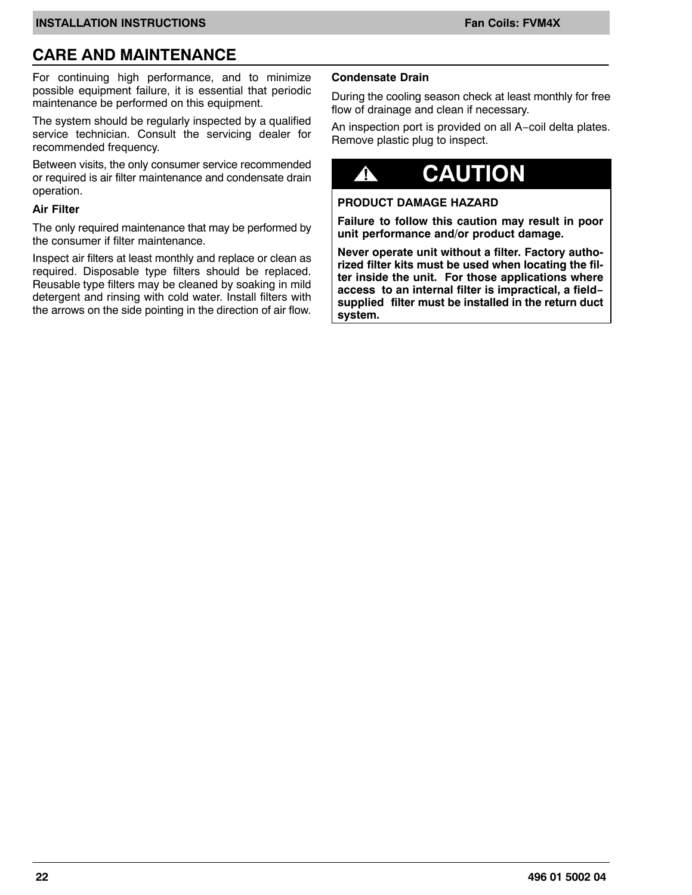## **CARE AND MAINTENANCE**

For continuing high performance, and to minimize possible equipment failure, it is essential that periodic maintenance be performed on this equipment.

The system should be regularly inspected by a qualified service technician. Consult the servicing dealer for recommended frequency.

Between visits, the only consumer service recommended or required is air filter maintenance and condensate drain operation.

#### **Air Filter**

The only required maintenance that may be performed by the consumer if filter maintenance.

Inspect air filters at least monthly and replace or clean as required. Disposable type filters should be replaced. Reusable type filters may be cleaned by soaking in mild detergent and rinsing with cold water. Install filters with the arrows on the side pointing in the direction of air flow.

#### **Condensate Drain**

During the cooling season check at least monthly for free flow of drainage and clean if necessary.

An inspection port is provided on all A−coil delta plates. Remove plastic plug to inspect.

## **! CAUTION**

#### **PRODUCT DAMAGE HAZARD**

**Failure to follow this caution may result in poor unit performance and/or product damage.**

**Never operate unit without a filter. Factory authorized filter kits must be used when locating the filter inside the unit. For those applications where access to an internal filter is impractical, a field− supplied filter must be installed in the return duct system.**